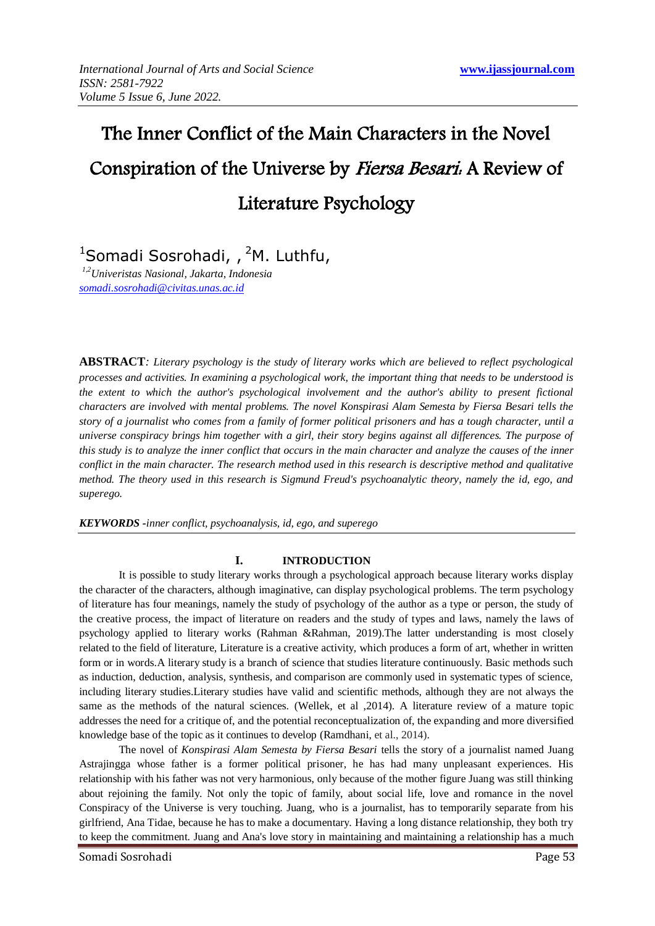# The Inner Conflict of the Main Characters in the Novel Conspiration of the Universe by Fiersa Besari: A Review of Literature Psychology

<sup>1</sup>Somadi Sosrohadi, , <sup>2</sup>M. Luthfu,

*1,2Univeristas Nasional, Jakarta, Indonesia [somadi.sosrohadi@civitas.unas.ac.id](mailto:somadi.sosrohadi@civitas.unas.ac.id)*

**ABSTRACT***: Literary psychology is the study of literary works which are believed to reflect psychological processes and activities. In examining a psychological work, the important thing that needs to be understood is the extent to which the author's psychological involvement and the author's ability to present fictional characters are involved with mental problems. The novel Konspirasi Alam Semesta by Fiersa Besari tells the story of a journalist who comes from a family of former political prisoners and has a tough character, until a universe conspiracy brings him together with a girl, their story begins against all differences. The purpose of this study is to analyze the inner conflict that occurs in the main character and analyze the causes of the inner conflict in the main character. The research method used in this research is descriptive method and qualitative method. The theory used in this research is Sigmund Freud's psychoanalytic theory, namely the id, ego, and superego.*

*KEYWORDS -inner conflict, psychoanalysis, id, ego, and superego*

## **I. INTRODUCTION**

It is possible to study literary works through a psychological approach because literary works display the character of the characters, although imaginative, can display psychological problems. The term psychology of literature has four meanings, namely the study of psychology of the author as a type or person, the study of the creative process, the impact of literature on readers and the study of types and laws, namely the laws of psychology applied to literary works (Rahman &Rahman, 2019).The latter understanding is most closely related to the field of literature, Literature is a creative activity, which produces a form of art, whether in written form or in words.A literary study is a branch of science that studies literature continuously. Basic methods such as induction, deduction, analysis, synthesis, and comparison are commonly used in systematic types of science, including literary studies.Literary studies have valid and scientific methods, although they are not always the same as the methods of the natural sciences. (Wellek, et al ,2014). A literature review of a mature topic addresses the need for a critique of, and the potential reconceptualization of, the expanding and more diversified knowledge base of the topic as it continues to develop (Ramdhani, et al., 2014).

The novel of *Konspirasi Alam Semesta by Fiersa Besari* tells the story of a journalist named Juang Astrajingga whose father is a former political prisoner, he has had many unpleasant experiences. His relationship with his father was not very harmonious, only because of the mother figure Juang was still thinking about rejoining the family. Not only the topic of family, about social life, love and romance in the novel Conspiracy of the Universe is very touching. Juang, who is a journalist, has to temporarily separate from his girlfriend, Ana Tidae, because he has to make a documentary. Having a long distance relationship, they both try to keep the commitment. Juang and Ana's love story in maintaining and maintaining a relationship has a much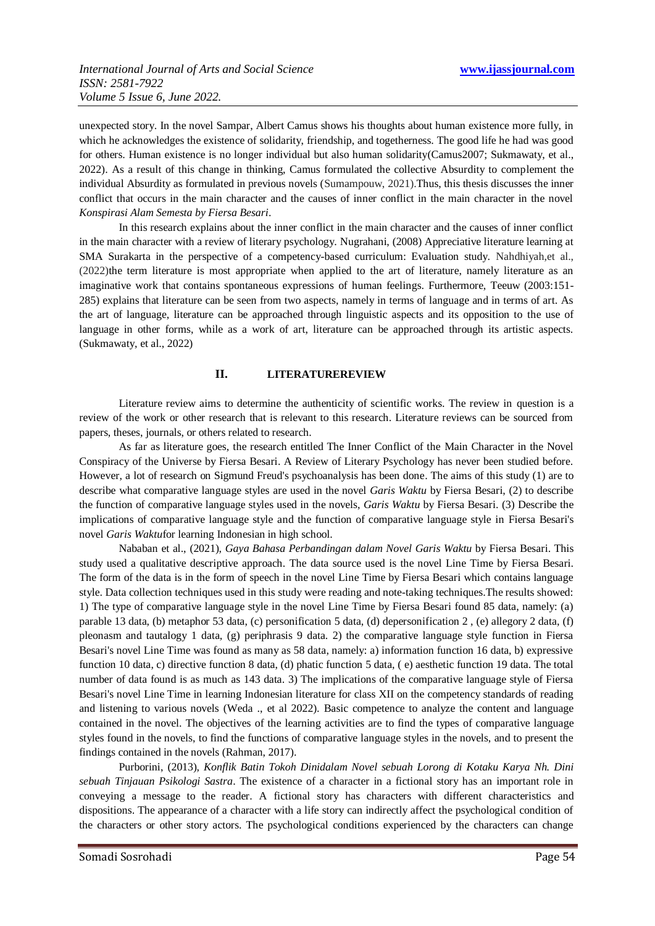unexpected story. In the novel Sampar, Albert Camus shows his thoughts about human existence more fully, in which he acknowledges the existence of solidarity, friendship, and togetherness. The good life he had was good for others. Human existence is no longer individual but also human solidarity(Camus2007; Sukmawaty, et al., 2022). As a result of this change in thinking, Camus formulated the collective Absurdity to complement the individual Absurdity as formulated in previous novels (Sumampouw, 2021).Thus, this thesis discusses the inner conflict that occurs in the main character and the causes of inner conflict in the main character in the novel *Konspirasi Alam Semesta by Fiersa Besari*.

In this research explains about the inner conflict in the main character and the causes of inner conflict in the main character with a review of literary psychology. Nugrahani, (2008) Appreciative literature learning at SMA Surakarta in the perspective of a competency-based curriculum: Evaluation study. Nahdhiyah,et al., (2022)the term literature is most appropriate when applied to the art of literature, namely literature as an imaginative work that contains spontaneous expressions of human feelings. Furthermore, Teeuw (2003:151- 285) explains that literature can be seen from two aspects, namely in terms of language and in terms of art. As the art of language, literature can be approached through linguistic aspects and its opposition to the use of language in other forms, while as a work of art, literature can be approached through its artistic aspects. (Sukmawaty, et al., 2022)

#### **II. LITERATUREREVIEW**

Literature review aims to determine the authenticity of scientific works. The review in question is a review of the work or other research that is relevant to this research. Literature reviews can be sourced from papers, theses, journals, or others related to research.

As far as literature goes, the research entitled The Inner Conflict of the Main Character in the Novel Conspiracy of the Universe by Fiersa Besari. A Review of Literary Psychology has never been studied before. However, a lot of research on Sigmund Freud's psychoanalysis has been done. The aims of this study (1) are to describe what comparative language styles are used in the novel *Garis Waktu* by Fiersa Besari, (2) to describe the function of comparative language styles used in the novels, *Garis Waktu* by Fiersa Besari. (3) Describe the implications of comparative language style and the function of comparative language style in Fiersa Besari's novel *Garis Waktu*for learning Indonesian in high school.

Nababan et al., (2021), *Gaya Bahasa Perbandingan dalam Novel Garis Waktu* by Fiersa Besari. This study used a qualitative descriptive approach. The data source used is the novel Line Time by Fiersa Besari. The form of the data is in the form of speech in the novel Line Time by Fiersa Besari which contains language style. Data collection techniques used in this study were reading and note-taking techniques.The results showed: 1) The type of comparative language style in the novel Line Time by Fiersa Besari found 85 data, namely: (a) parable 13 data, (b) metaphor 53 data, (c) personification 5 data, (d) depersonification 2 , (e) allegory 2 data, (f) pleonasm and tautalogy 1 data, (g) periphrasis 9 data. 2) the comparative language style function in Fiersa Besari's novel Line Time was found as many as 58 data, namely: a) information function 16 data, b) expressive function 10 data, c) directive function 8 data, (d) phatic function 5 data, ( e) aesthetic function 19 data. The total number of data found is as much as 143 data. 3) The implications of the comparative language style of Fiersa Besari's novel Line Time in learning Indonesian literature for class XII on the competency standards of reading and listening to various novels (Weda ., et al 2022). Basic competence to analyze the content and language contained in the novel. The objectives of the learning activities are to find the types of comparative language styles found in the novels, to find the functions of comparative language styles in the novels, and to present the findings contained in the novels (Rahman, 2017).

Purborini, (2013), *Konflik Batin Tokoh Dinidalam Novel sebuah Lorong di Kotaku Karya Nh. Dini sebuah Tinjauan Psikologi Sastra*. The existence of a character in a fictional story has an important role in conveying a message to the reader. A fictional story has characters with different characteristics and dispositions. The appearance of a character with a life story can indirectly affect the psychological condition of the characters or other story actors. The psychological conditions experienced by the characters can change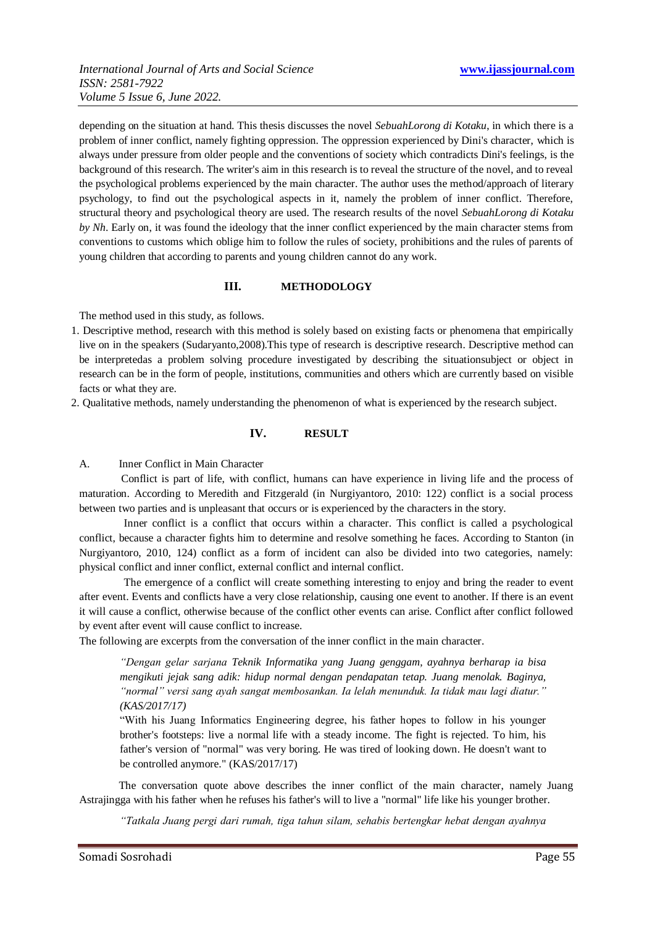depending on the situation at hand. This thesis discusses the novel *SebuahLorong di Kotaku*, in which there is a problem of inner conflict, namely fighting oppression. The oppression experienced by Dini's character, which is always under pressure from older people and the conventions of society which contradicts Dini's feelings, is the background of this research. The writer's aim in this research is to reveal the structure of the novel, and to reveal the psychological problems experienced by the main character. The author uses the method/approach of literary psychology, to find out the psychological aspects in it, namely the problem of inner conflict. Therefore, structural theory and psychological theory are used. The research results of the novel *SebuahLorong di Kotaku by Nh*. Early on, it was found the ideology that the inner conflict experienced by the main character stems from conventions to customs which oblige him to follow the rules of society, prohibitions and the rules of parents of young children that according to parents and young children cannot do any work.

## **III. METHODOLOGY**

The method used in this study, as follows.

- 1. Descriptive method, research with this method is solely based on existing facts or phenomena that empirically live on in the speakers (Sudaryanto,2008).This type of research is descriptive research. Descriptive method can be interpretedas a problem solving procedure investigated by describing the situationsubject or object in research can be in the form of people, institutions, communities and others which are currently based on visible facts or what they are.
- 2. Qualitative methods, namely understanding the phenomenon of what is experienced by the research subject.

### **IV. RESULT**

A. Inner Conflict in Main Character

 Conflict is part of life, with conflict, humans can have experience in living life and the process of maturation. According to Meredith and Fitzgerald (in Nurgiyantoro, 2010: 122) conflict is a social process between two parties and is unpleasant that occurs or is experienced by the characters in the story.

 Inner conflict is a conflict that occurs within a character. This conflict is called a psychological conflict, because a character fights him to determine and resolve something he faces. According to Stanton (in Nurgiyantoro, 2010, 124) conflict as a form of incident can also be divided into two categories, namely: physical conflict and inner conflict, external conflict and internal conflict.

 The emergence of a conflict will create something interesting to enjoy and bring the reader to event after event. Events and conflicts have a very close relationship, causing one event to another. If there is an event it will cause a conflict, otherwise because of the conflict other events can arise. Conflict after conflict followed by event after event will cause conflict to increase.

The following are excerpts from the conversation of the inner conflict in the main character.

*"Dengan gelar sarjana Teknik Informatika yang Juang genggam, ayahnya berharap ia bisa mengikuti jejak sang adik: hidup normal dengan pendapatan tetap. Juang menolak. Baginya, "normal" versi sang ayah sangat membosankan. Ia lelah menunduk. Ia tidak mau lagi diatur." (KAS/2017/17)*

"With his Juang Informatics Engineering degree, his father hopes to follow in his younger brother's footsteps: live a normal life with a steady income. The fight is rejected. To him, his father's version of "normal" was very boring. He was tired of looking down. He doesn't want to be controlled anymore." (KAS/2017/17)

The conversation quote above describes the inner conflict of the main character, namely Juang Astrajingga with his father when he refuses his father's will to live a "normal" life like his younger brother.

*"Tatkala Juang pergi dari rumah, tiga tahun silam, sehabis bertengkar hebat dengan ayahnya*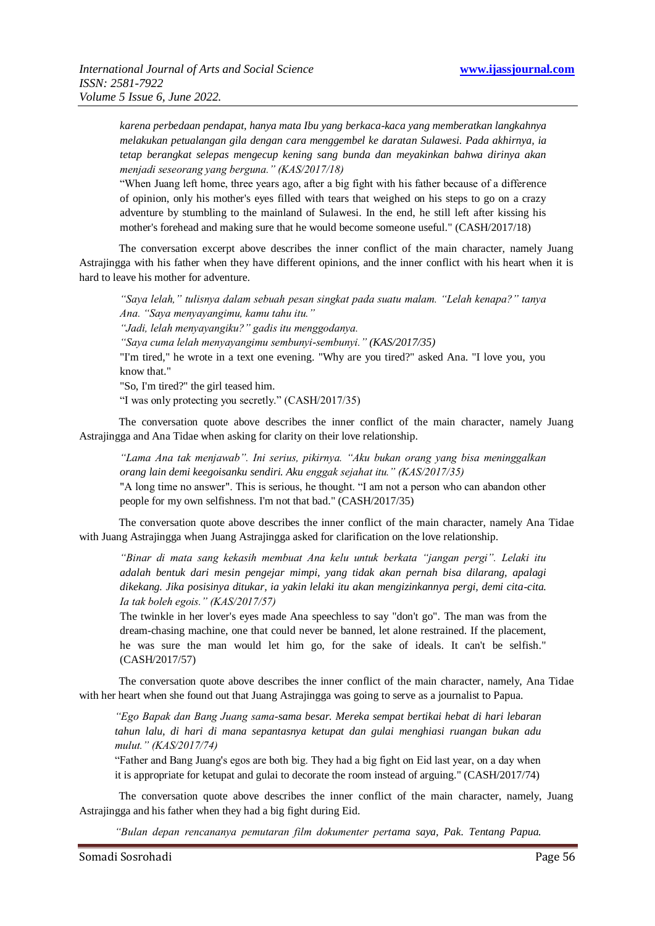*karena perbedaan pendapat, hanya mata Ibu yang berkaca-kaca yang memberatkan langkahnya melakukan petualangan gila dengan cara menggembel ke daratan Sulawesi. Pada akhirnya, ia tetap berangkat selepas mengecup kening sang bunda dan meyakinkan bahwa dirinya akan menjadi seseorang yang berguna." (KAS/2017/18)*

"When Juang left home, three years ago, after a big fight with his father because of a difference of opinion, only his mother's eyes filled with tears that weighed on his steps to go on a crazy adventure by stumbling to the mainland of Sulawesi. In the end, he still left after kissing his mother's forehead and making sure that he would become someone useful." (CASH/2017/18)

The conversation excerpt above describes the inner conflict of the main character, namely Juang Astrajingga with his father when they have different opinions, and the inner conflict with his heart when it is hard to leave his mother for adventure.

*"Saya lelah," tulisnya dalam sebuah pesan singkat pada suatu malam. "Lelah kenapa?" tanya Ana. "Saya menyayangimu, kamu tahu itu." "Jadi, lelah menyayangiku?" gadis itu menggodanya. "Saya cuma lelah menyayangimu sembunyi-sembunyi." (KAS/2017/35)* "I'm tired," he wrote in a text one evening. "Why are you tired?" asked Ana. "I love you, you know that." "So, I'm tired?" the girl teased him. "I was only protecting you secretly." (CASH/2017/35)

The conversation quote above describes the inner conflict of the main character, namely Juang Astrajingga and Ana Tidae when asking for clarity on their love relationship.

*"Lama Ana tak menjawab". Ini serius, pikirnya. "Aku bukan orang yang bisa meninggalkan orang lain demi keegoisanku sendiri. Aku enggak sejahat itu." (KAS/2017/35)*

"A long time no answer". This is serious, he thought. "I am not a person who can abandon other people for my own selfishness. I'm not that bad." (CASH/2017/35)

The conversation quote above describes the inner conflict of the main character, namely Ana Tidae with Juang Astrajingga when Juang Astrajingga asked for clarification on the love relationship.

*"Binar di mata sang kekasih membuat Ana kelu untuk berkata "jangan pergi". Lelaki itu adalah bentuk dari mesin pengejar mimpi, yang tidak akan pernah bisa dilarang, apalagi dikekang. Jika posisinya ditukar, ia yakin lelaki itu akan mengizinkannya pergi, demi cita-cita. Ia tak boleh egois." (KAS/2017/57)*

The twinkle in her lover's eyes made Ana speechless to say "don't go". The man was from the dream-chasing machine, one that could never be banned, let alone restrained. If the placement, he was sure the man would let him go, for the sake of ideals. It can't be selfish." (CASH/2017/57)

The conversation quote above describes the inner conflict of the main character, namely, Ana Tidae with her heart when she found out that Juang Astrajingga was going to serve as a journalist to Papua.

*"Ego Bapak dan Bang Juang sama-sama besar. Mereka sempat bertikai hebat di hari lebaran tahun lalu, di hari di mana sepantasnya ketupat dan gulai menghiasi ruangan bukan adu mulut." (KAS/2017/74)*

"Father and Bang Juang's egos are both big. They had a big fight on Eid last year, on a day when it is appropriate for ketupat and gulai to decorate the room instead of arguing." (CASH/2017/74)

The conversation quote above describes the inner conflict of the main character, namely, Juang Astrajingga and his father when they had a big fight during Eid.

*"Bulan depan rencananya pemutaran film dokumenter pertama saya, Pak. Tentang Papua.*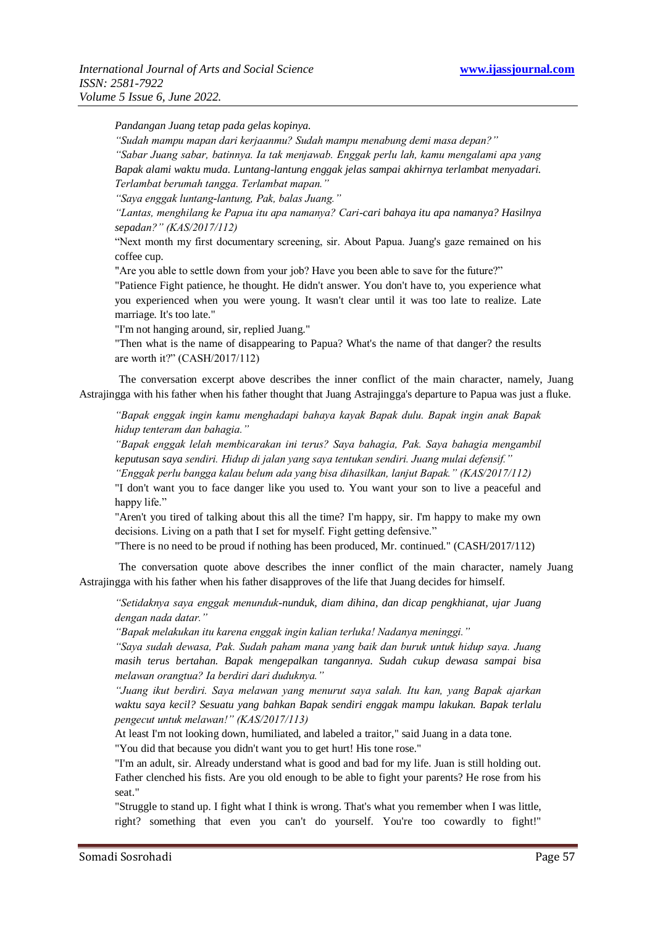*Pandangan Juang tetap pada gelas kopinya.*

*"Sudah mampu mapan dari kerjaanmu? Sudah mampu menabung demi masa depan?"*

*"Sabar Juang sabar, batinnya. Ia tak menjawab. Enggak perlu lah, kamu mengalami apa yang Bapak alami waktu muda. Luntang-lantung enggak jelas sampai akhirnya terlambat menyadari. Terlambat berumah tangga. Terlambat mapan."*

*"Saya enggak luntang-lantung, Pak, balas Juang."*

*"Lantas, menghilang ke Papua itu apa namanya? Cari-cari bahaya itu apa namanya? Hasilnya sepadan?" (KAS/2017/112)*

"Next month my first documentary screening, sir. About Papua. Juang's gaze remained on his coffee cup.

"Are you able to settle down from your job? Have you been able to save for the future?"

"Patience Fight patience, he thought. He didn't answer. You don't have to, you experience what you experienced when you were young. It wasn't clear until it was too late to realize. Late marriage. It's too late."

"I'm not hanging around, sir, replied Juang."

"Then what is the name of disappearing to Papua? What's the name of that danger? the results are worth it?" (CASH/2017/112)

The conversation excerpt above describes the inner conflict of the main character, namely, Juang Astrajingga with his father when his father thought that Juang Astrajingga's departure to Papua was just a fluke.

*"Bapak enggak ingin kamu menghadapi bahaya kayak Bapak dulu. Bapak ingin anak Bapak hidup tenteram dan bahagia."*

*"Bapak enggak lelah membicarakan ini terus? Saya bahagia, Pak. Saya bahagia mengambil keputusan saya sendiri. Hidup di jalan yang saya tentukan sendiri. Juang mulai defensif."*

*"Enggak perlu bangga kalau belum ada yang bisa dihasilkan, lanjut Bapak." (KAS/2017/112)*

"I don't want you to face danger like you used to. You want your son to live a peaceful and happy life."

"Aren't you tired of talking about this all the time? I'm happy, sir. I'm happy to make my own decisions. Living on a path that I set for myself. Fight getting defensive."

"There is no need to be proud if nothing has been produced, Mr. continued." (CASH/2017/112)

The conversation quote above describes the inner conflict of the main character, namely Juang Astrajingga with his father when his father disapproves of the life that Juang decides for himself.

*"Setidaknya saya enggak menunduk-nunduk, diam dihina, dan dicap pengkhianat, ujar Juang dengan nada datar."*

*"Bapak melakukan itu karena enggak ingin kalian terluka! Nadanya meninggi."*

*"Saya sudah dewasa, Pak. Sudah paham mana yang baik dan buruk untuk hidup saya. Juang masih terus bertahan. Bapak mengepalkan tangannya. Sudah cukup dewasa sampai bisa melawan orangtua? Ia berdiri dari duduknya."*

*"Juang ikut berdiri. Saya melawan yang menurut saya salah. Itu kan, yang Bapak ajarkan waktu saya kecil? Sesuatu yang bahkan Bapak sendiri enggak mampu lakukan. Bapak terlalu pengecut untuk melawan!" (KAS/2017/113)*

At least I'm not looking down, humiliated, and labeled a traitor," said Juang in a data tone. "You did that because you didn't want you to get hurt! His tone rose."

"I'm an adult, sir. Already understand what is good and bad for my life. Juan is still holding out. Father clenched his fists. Are you old enough to be able to fight your parents? He rose from his seat."

"Struggle to stand up. I fight what I think is wrong. That's what you remember when I was little, right? something that even you can't do yourself. You're too cowardly to fight!"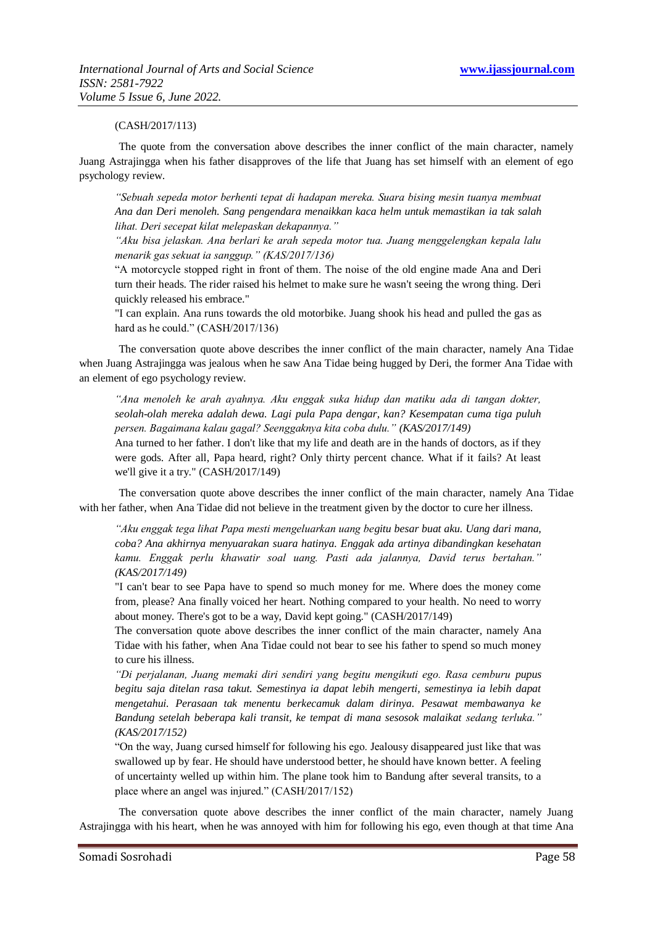#### (CASH/2017/113)

The quote from the conversation above describes the inner conflict of the main character, namely Juang Astrajingga when his father disapproves of the life that Juang has set himself with an element of ego psychology review.

*"Sebuah sepeda motor berhenti tepat di hadapan mereka. Suara bising mesin tuanya membuat Ana dan Deri menoleh. Sang pengendara menaikkan kaca helm untuk memastikan ia tak salah lihat. Deri secepat kilat melepaskan dekapannya."*

*"Aku bisa jelaskan. Ana berlari ke arah sepeda motor tua. Juang menggelengkan kepala lalu menarik gas sekuat ia sanggup." (KAS/2017/136)*

"A motorcycle stopped right in front of them. The noise of the old engine made Ana and Deri turn their heads. The rider raised his helmet to make sure he wasn't seeing the wrong thing. Deri quickly released his embrace."

"I can explain. Ana runs towards the old motorbike. Juang shook his head and pulled the gas as hard as he could." (CASH/2017/136)

The conversation quote above describes the inner conflict of the main character, namely Ana Tidae when Juang Astrajingga was jealous when he saw Ana Tidae being hugged by Deri, the former Ana Tidae with an element of ego psychology review.

*"Ana menoleh ke arah ayahnya. Aku enggak suka hidup dan matiku ada di tangan dokter, seolah-olah mereka adalah dewa. Lagi pula Papa dengar, kan? Kesempatan cuma tiga puluh persen. Bagaimana kalau gagal? Seenggaknya kita coba dulu." (KAS/2017/149)*

Ana turned to her father. I don't like that my life and death are in the hands of doctors, as if they were gods. After all, Papa heard, right? Only thirty percent chance. What if it fails? At least we'll give it a try." (CASH/2017/149)

The conversation quote above describes the inner conflict of the main character, namely Ana Tidae with her father, when Ana Tidae did not believe in the treatment given by the doctor to cure her illness.

*"Aku enggak tega lihat Papa mesti mengeluarkan uang begitu besar buat aku. Uang dari mana, coba? Ana akhirnya menyuarakan suara hatinya. Enggak ada artinya dibandingkan kesehatan kamu. Enggak perlu khawatir soal uang. Pasti ada jalannya, David terus bertahan." (KAS/2017/149)*

"I can't bear to see Papa have to spend so much money for me. Where does the money come from, please? Ana finally voiced her heart. Nothing compared to your health. No need to worry about money. There's got to be a way, David kept going." (CASH/2017/149)

The conversation quote above describes the inner conflict of the main character, namely Ana Tidae with his father, when Ana Tidae could not bear to see his father to spend so much money to cure his illness.

*"Di perjalanan, Juang memaki diri sendiri yang begitu mengikuti ego. Rasa cemburu pupus begitu saja ditelan rasa takut. Semestinya ia dapat lebih mengerti, semestinya ia lebih dapat mengetahui. Perasaan tak menentu berkecamuk dalam dirinya. Pesawat membawanya ke Bandung setelah beberapa kali transit, ke tempat di mana sesosok malaikat sedang terluka." (KAS/2017/152)*

"On the way, Juang cursed himself for following his ego. Jealousy disappeared just like that was swallowed up by fear. He should have understood better, he should have known better. A feeling of uncertainty welled up within him. The plane took him to Bandung after several transits, to a place where an angel was injured." (CASH/2017/152)

The conversation quote above describes the inner conflict of the main character, namely Juang Astrajingga with his heart, when he was annoyed with him for following his ego, even though at that time Ana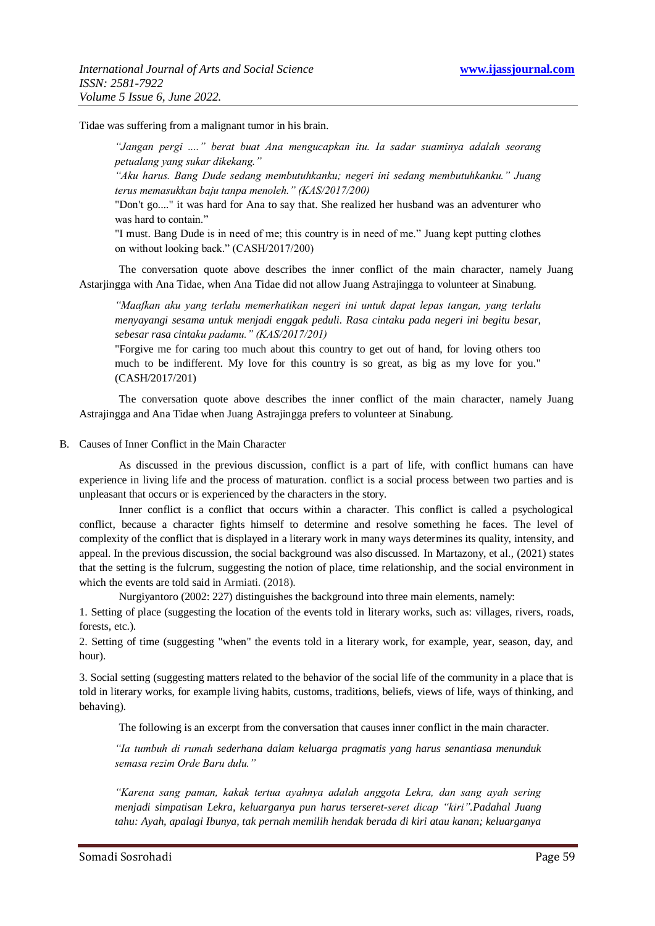Tidae was suffering from a malignant tumor in his brain.

*"Jangan pergi ...." berat buat Ana mengucapkan itu. Ia sadar suaminya adalah seorang petualang yang sukar dikekang."*

*"Aku harus. Bang Dude sedang membutuhkanku; negeri ini sedang membutuhkanku." Juang terus memasukkan baju tanpa menoleh." (KAS/2017/200)*

"Don't go...." it was hard for Ana to say that. She realized her husband was an adventurer who was hard to contain."

"I must. Bang Dude is in need of me; this country is in need of me." Juang kept putting clothes on without looking back." (CASH/2017/200)

The conversation quote above describes the inner conflict of the main character, namely Juang Astarjingga with Ana Tidae, when Ana Tidae did not allow Juang Astrajingga to volunteer at Sinabung.

*"Maafkan aku yang terlalu memerhatikan negeri ini untuk dapat lepas tangan, yang terlalu menyayangi sesama untuk menjadi enggak peduli. Rasa cintaku pada negeri ini begitu besar, sebesar rasa cintaku padamu." (KAS/2017/201)*

"Forgive me for caring too much about this country to get out of hand, for loving others too much to be indifferent. My love for this country is so great, as big as my love for you." (CASH/2017/201)

The conversation quote above describes the inner conflict of the main character, namely Juang Astrajingga and Ana Tidae when Juang Astrajingga prefers to volunteer at Sinabung.

B. Causes of Inner Conflict in the Main Character

As discussed in the previous discussion, conflict is a part of life, with conflict humans can have experience in living life and the process of maturation. conflict is a social process between two parties and is unpleasant that occurs or is experienced by the characters in the story.

Inner conflict is a conflict that occurs within a character. This conflict is called a psychological conflict, because a character fights himself to determine and resolve something he faces. The level of complexity of the conflict that is displayed in a literary work in many ways determines its quality, intensity, and appeal. In the previous discussion, the social background was also discussed. In Martazony, et al., (2021) states that the setting is the fulcrum, suggesting the notion of place, time relationship, and the social environment in which the events are told said in Armiati. (2018).

Nurgiyantoro (2002: 227) distinguishes the background into three main elements, namely:

1. Setting of place (suggesting the location of the events told in literary works, such as: villages, rivers, roads, forests, etc.).

2. Setting of time (suggesting "when" the events told in a literary work, for example, year, season, day, and hour).

3. Social setting (suggesting matters related to the behavior of the social life of the community in a place that is told in literary works, for example living habits, customs, traditions, beliefs, views of life, ways of thinking, and behaving).

The following is an excerpt from the conversation that causes inner conflict in the main character.

*"Ia tumbuh di rumah sederhana dalam keluarga pragmatis yang harus senantiasa menunduk semasa rezim Orde Baru dulu."*

*"Karena sang paman, kakak tertua ayahnya adalah anggota Lekra, dan sang ayah sering menjadi simpatisan Lekra, keluarganya pun harus terseret-seret dicap "kiri".Padahal Juang tahu: Ayah, apalagi Ibunya, tak pernah memilih hendak berada di kiri atau kanan; keluarganya*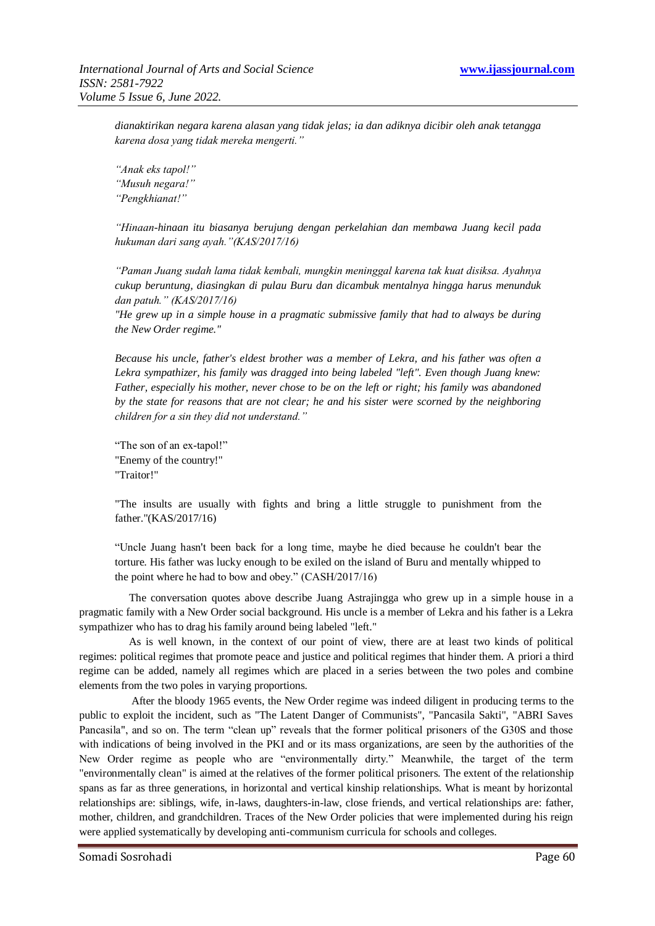*dianaktirikan negara karena alasan yang tidak jelas; ia dan adiknya dicibir oleh anak tetangga karena dosa yang tidak mereka mengerti."*

*"Anak eks tapol!" "Musuh negara!" "Pengkhianat!"*

*"Hinaan-hinaan itu biasanya berujung dengan perkelahian dan membawa Juang kecil pada hukuman dari sang ayah."(KAS/2017/16)*

*"Paman Juang sudah lama tidak kembali, mungkin meninggal karena tak kuat disiksa. Ayahnya cukup beruntung, diasingkan di pulau Buru dan dicambuk mentalnya hingga harus menunduk dan patuh." (KAS/2017/16)*

*"He grew up in a simple house in a pragmatic submissive family that had to always be during the New Order regime."*

*Because his uncle, father's eldest brother was a member of Lekra, and his father was often a Lekra sympathizer, his family was dragged into being labeled "left". Even though Juang knew: Father, especially his mother, never chose to be on the left or right; his family was abandoned by the state for reasons that are not clear; he and his sister were scorned by the neighboring children for a sin they did not understand."*

"The son of an ex-tapol!" "Enemy of the country!" "Traitor!"

"The insults are usually with fights and bring a little struggle to punishment from the father."(KAS/2017/16)

"Uncle Juang hasn't been back for a long time, maybe he died because he couldn't bear the torture. His father was lucky enough to be exiled on the island of Buru and mentally whipped to the point where he had to bow and obey." (CASH/2017/16)

The conversation quotes above describe Juang Astrajingga who grew up in a simple house in a pragmatic family with a New Order social background. His uncle is a member of Lekra and his father is a Lekra sympathizer who has to drag his family around being labeled "left."

As is well known, in the context of our point of view, there are at least two kinds of political regimes: political regimes that promote peace and justice and political regimes that hinder them. A priori a third regime can be added, namely all regimes which are placed in a series between the two poles and combine elements from the two poles in varying proportions.

After the bloody 1965 events, the New Order regime was indeed diligent in producing terms to the public to exploit the incident, such as "The Latent Danger of Communists", "Pancasila Sakti", "ABRI Saves Pancasila", and so on. The term "clean up" reveals that the former political prisoners of the G30S and those with indications of being involved in the PKI and or its mass organizations, are seen by the authorities of the New Order regime as people who are "environmentally dirty." Meanwhile, the target of the term "environmentally clean" is aimed at the relatives of the former political prisoners. The extent of the relationship spans as far as three generations, in horizontal and vertical kinship relationships. What is meant by horizontal relationships are: siblings, wife, in-laws, daughters-in-law, close friends, and vertical relationships are: father, mother, children, and grandchildren. Traces of the New Order policies that were implemented during his reign were applied systematically by developing anti-communism curricula for schools and colleges.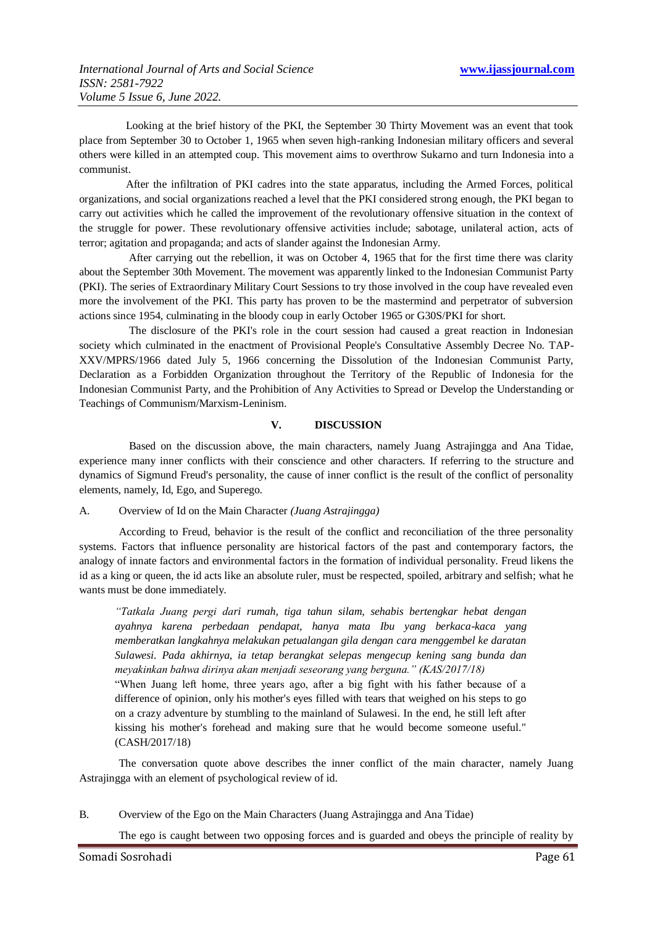Looking at the brief history of the PKI, the September 30 Thirty Movement was an event that took place from September 30 to October 1, 1965 when seven high-ranking Indonesian military officers and several others were killed in an attempted coup. This movement aims to overthrow Sukarno and turn Indonesia into a communist.

After the infiltration of PKI cadres into the state apparatus, including the Armed Forces, political organizations, and social organizations reached a level that the PKI considered strong enough, the PKI began to carry out activities which he called the improvement of the revolutionary offensive situation in the context of the struggle for power. These revolutionary offensive activities include; sabotage, unilateral action, acts of terror; agitation and propaganda; and acts of slander against the Indonesian Army.

After carrying out the rebellion, it was on October 4, 1965 that for the first time there was clarity about the September 30th Movement. The movement was apparently linked to the Indonesian Communist Party (PKI). The series of Extraordinary Military Court Sessions to try those involved in the coup have revealed even more the involvement of the PKI. This party has proven to be the mastermind and perpetrator of subversion actions since 1954, culminating in the bloody coup in early October 1965 or G30S/PKI for short.

The disclosure of the PKI's role in the court session had caused a great reaction in Indonesian society which culminated in the enactment of Provisional People's Consultative Assembly Decree No. TAP-XXV/MPRS/1966 dated July 5, 1966 concerning the Dissolution of the Indonesian Communist Party, Declaration as a Forbidden Organization throughout the Territory of the Republic of Indonesia for the Indonesian Communist Party, and the Prohibition of Any Activities to Spread or Develop the Understanding or Teachings of Communism/Marxism-Leninism.

#### **V. DISCUSSION**

Based on the discussion above, the main characters, namely Juang Astrajingga and Ana Tidae, experience many inner conflicts with their conscience and other characters. If referring to the structure and dynamics of Sigmund Freud's personality, the cause of inner conflict is the result of the conflict of personality elements, namely, Id, Ego, and Superego.

#### A. Overview of Id on the Main Character *(Juang Astrajingga)*

According to Freud, behavior is the result of the conflict and reconciliation of the three personality systems. Factors that influence personality are historical factors of the past and contemporary factors, the analogy of innate factors and environmental factors in the formation of individual personality. Freud likens the id as a king or queen, the id acts like an absolute ruler, must be respected, spoiled, arbitrary and selfish; what he wants must be done immediately.

*"Tatkala Juang pergi dari rumah, tiga tahun silam, sehabis bertengkar hebat dengan ayahnya karena perbedaan pendapat, hanya mata Ibu yang berkaca-kaca yang memberatkan langkahnya melakukan petualangan gila dengan cara menggembel ke daratan Sulawesi. Pada akhirnya, ia tetap berangkat selepas mengecup kening sang bunda dan meyakinkan bahwa dirinya akan menjadi seseorang yang berguna." (KAS/2017/18)*

"When Juang left home, three years ago, after a big fight with his father because of a difference of opinion, only his mother's eyes filled with tears that weighed on his steps to go on a crazy adventure by stumbling to the mainland of Sulawesi. In the end, he still left after kissing his mother's forehead and making sure that he would become someone useful." (CASH/2017/18)

The conversation quote above describes the inner conflict of the main character, namely Juang Astrajingga with an element of psychological review of id.

B. Overview of the Ego on the Main Characters (Juang Astrajingga and Ana Tidae)

The ego is caught between two opposing forces and is guarded and obeys the principle of reality by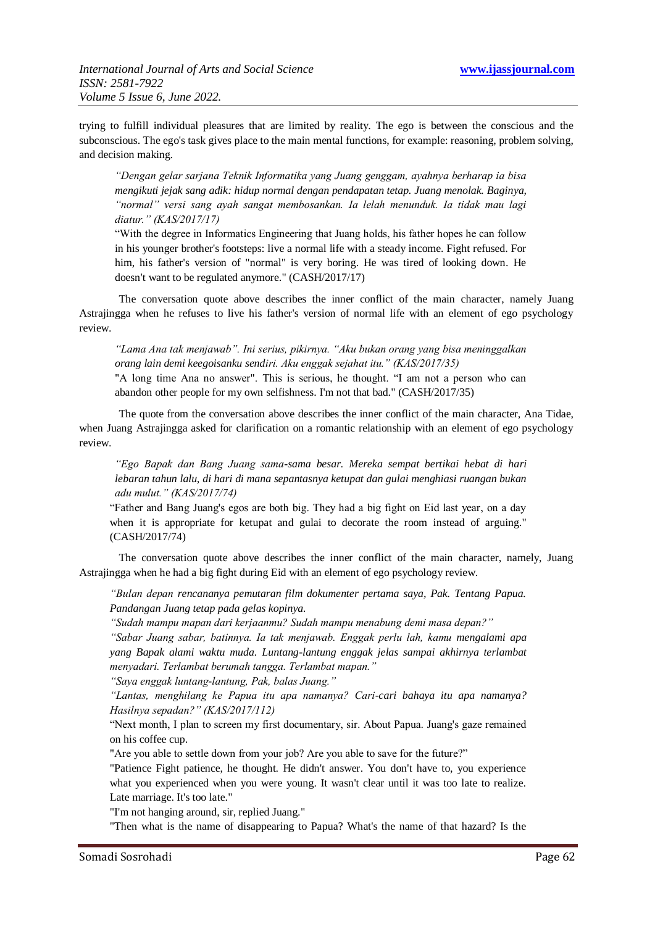trying to fulfill individual pleasures that are limited by reality. The ego is between the conscious and the subconscious. The ego's task gives place to the main mental functions, for example: reasoning, problem solving, and decision making.

*"Dengan gelar sarjana Teknik Informatika yang Juang genggam, ayahnya berharap ia bisa mengikuti jejak sang adik: hidup normal dengan pendapatan tetap. Juang menolak. Baginya, "normal" versi sang ayah sangat membosankan. Ia lelah menunduk. Ia tidak mau lagi diatur." (KAS/2017/17)*

"With the degree in Informatics Engineering that Juang holds, his father hopes he can follow in his younger brother's footsteps: live a normal life with a steady income. Fight refused. For him, his father's version of "normal" is very boring. He was tired of looking down. He doesn't want to be regulated anymore." (CASH/2017/17)

The conversation quote above describes the inner conflict of the main character, namely Juang Astrajingga when he refuses to live his father's version of normal life with an element of ego psychology review.

*"Lama Ana tak menjawab". Ini serius, pikirnya. "Aku bukan orang yang bisa meninggalkan orang lain demi keegoisanku sendiri. Aku enggak sejahat itu." (KAS/2017/35)*

"A long time Ana no answer". This is serious, he thought. "I am not a person who can abandon other people for my own selfishness. I'm not that bad." (CASH/2017/35)

The quote from the conversation above describes the inner conflict of the main character, Ana Tidae, when Juang Astrajingga asked for clarification on a romantic relationship with an element of ego psychology review.

*"Ego Bapak dan Bang Juang sama-sama besar. Mereka sempat bertikai hebat di hari lebaran tahun lalu, di hari di mana sepantasnya ketupat dan gulai menghiasi ruangan bukan adu mulut." (KAS/2017/74)*

"Father and Bang Juang's egos are both big. They had a big fight on Eid last year, on a day when it is appropriate for ketupat and gulai to decorate the room instead of arguing." (CASH/2017/74)

The conversation quote above describes the inner conflict of the main character, namely, Juang Astrajingga when he had a big fight during Eid with an element of ego psychology review.

*"Bulan depan rencananya pemutaran film dokumenter pertama saya, Pak. Tentang Papua. Pandangan Juang tetap pada gelas kopinya.*

*"Sudah mampu mapan dari kerjaanmu? Sudah mampu menabung demi masa depan?"*

*"Sabar Juang sabar, batinnya. Ia tak menjawab. Enggak perlu lah, kamu mengalami apa yang Bapak alami waktu muda. Luntang-lantung enggak jelas sampai akhirnya terlambat menyadari. Terlambat berumah tangga. Terlambat mapan."*

*"Saya enggak luntang-lantung, Pak, balas Juang."*

*"Lantas, menghilang ke Papua itu apa namanya? Cari-cari bahaya itu apa namanya? Hasilnya sepadan?" (KAS/2017/112)*

"Next month, I plan to screen my first documentary, sir. About Papua. Juang's gaze remained on his coffee cup.

"Are you able to settle down from your job? Are you able to save for the future?"

"Patience Fight patience, he thought. He didn't answer. You don't have to, you experience what you experienced when you were young. It wasn't clear until it was too late to realize. Late marriage. It's too late."

"I'm not hanging around, sir, replied Juang."

"Then what is the name of disappearing to Papua? What's the name of that hazard? Is the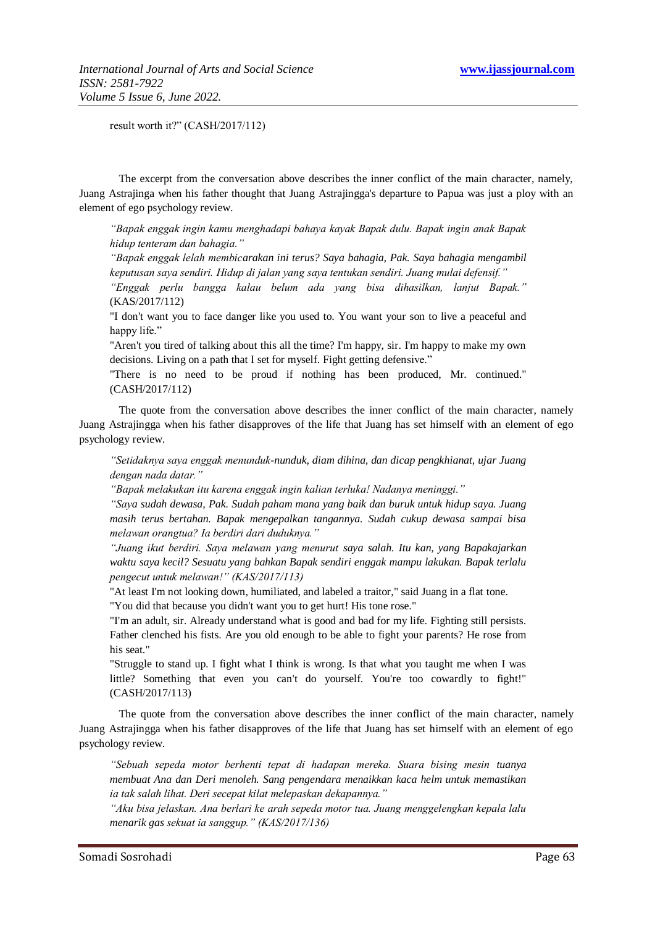result worth it?" (CASH/2017/112)

The excerpt from the conversation above describes the inner conflict of the main character, namely, Juang Astrajinga when his father thought that Juang Astrajingga's departure to Papua was just a ploy with an element of ego psychology review.

*"Bapak enggak ingin kamu menghadapi bahaya kayak Bapak dulu. Bapak ingin anak Bapak hidup tenteram dan bahagia."*

*"Bapak enggak lelah membicarakan ini terus? Saya bahagia, Pak. Saya bahagia mengambil keputusan saya sendiri. Hidup di jalan yang saya tentukan sendiri. Juang mulai defensif."*

*"Enggak perlu bangga kalau belum ada yang bisa dihasilkan, lanjut Bapak."* (KAS/2017/112)

"I don't want you to face danger like you used to. You want your son to live a peaceful and happy life."

"Aren't you tired of talking about this all the time? I'm happy, sir. I'm happy to make my own decisions. Living on a path that I set for myself. Fight getting defensive."

"There is no need to be proud if nothing has been produced, Mr. continued." (CASH/2017/112)

The quote from the conversation above describes the inner conflict of the main character, namely Juang Astrajingga when his father disapproves of the life that Juang has set himself with an element of ego psychology review.

*"Setidaknya saya enggak menunduk-nunduk, diam dihina, dan dicap pengkhianat, ujar Juang dengan nada datar."*

*"Bapak melakukan itu karena enggak ingin kalian terluka! Nadanya meninggi."*

*"Saya sudah dewasa, Pak. Sudah paham mana yang baik dan buruk untuk hidup saya. Juang masih terus bertahan. Bapak mengepalkan tangannya. Sudah cukup dewasa sampai bisa melawan orangtua? Ia berdiri dari duduknya."*

*"Juang ikut berdiri. Saya melawan yang menurut saya salah. Itu kan, yang Bapakajarkan waktu saya kecil? Sesuatu yang bahkan Bapak sendiri enggak mampu lakukan. Bapak terlalu pengecut untuk melawan!" (KAS/2017/113)*

"At least I'm not looking down, humiliated, and labeled a traitor," said Juang in a flat tone. "You did that because you didn't want you to get hurt! His tone rose."

"I'm an adult, sir. Already understand what is good and bad for my life. Fighting still persists. Father clenched his fists. Are you old enough to be able to fight your parents? He rose from his seat."

"Struggle to stand up. I fight what I think is wrong. Is that what you taught me when I was little? Something that even you can't do yourself. You're too cowardly to fight!" (CASH/2017/113)

The quote from the conversation above describes the inner conflict of the main character, namely Juang Astrajingga when his father disapproves of the life that Juang has set himself with an element of ego psychology review.

*"Sebuah sepeda motor berhenti tepat di hadapan mereka. Suara bising mesin tuanya membuat Ana dan Deri menoleh. Sang pengendara menaikkan kaca helm untuk memastikan ia tak salah lihat. Deri secepat kilat melepaskan dekapannya."*

*"Aku bisa jelaskan. Ana berlari ke arah sepeda motor tua. Juang menggelengkan kepala lalu menarik gas sekuat ia sanggup." (KAS/2017/136)*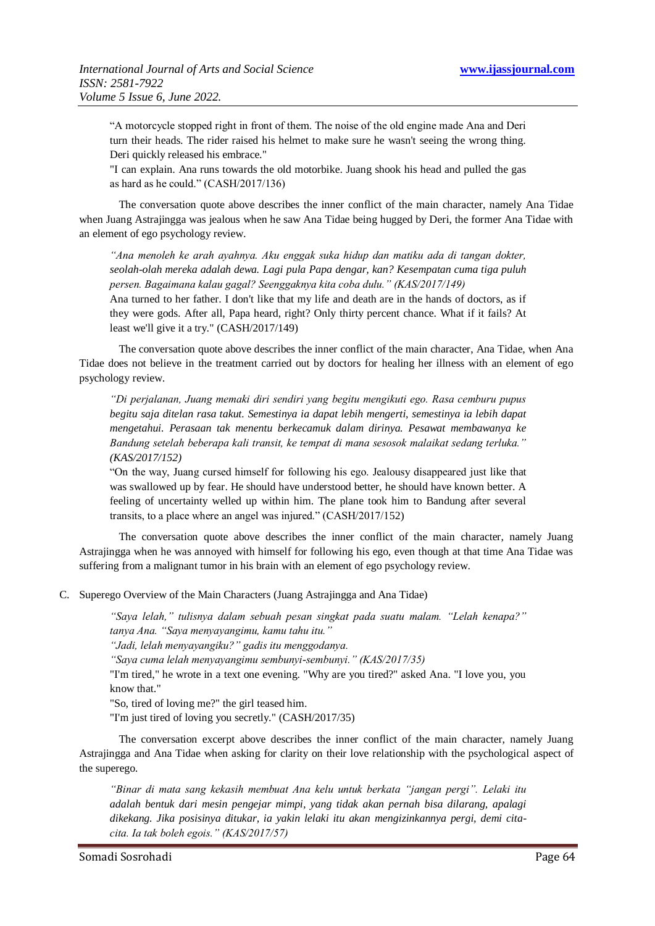"A motorcycle stopped right in front of them. The noise of the old engine made Ana and Deri turn their heads. The rider raised his helmet to make sure he wasn't seeing the wrong thing. Deri quickly released his embrace."

"I can explain. Ana runs towards the old motorbike. Juang shook his head and pulled the gas as hard as he could." (CASH/2017/136)

The conversation quote above describes the inner conflict of the main character, namely Ana Tidae when Juang Astrajingga was jealous when he saw Ana Tidae being hugged by Deri, the former Ana Tidae with an element of ego psychology review.

*"Ana menoleh ke arah ayahnya. Aku enggak suka hidup dan matiku ada di tangan dokter, seolah-olah mereka adalah dewa. Lagi pula Papa dengar, kan? Kesempatan cuma tiga puluh persen. Bagaimana kalau gagal? Seenggaknya kita coba dulu." (KAS/2017/149)*

Ana turned to her father. I don't like that my life and death are in the hands of doctors, as if they were gods. After all, Papa heard, right? Only thirty percent chance. What if it fails? At least we'll give it a try." (CASH/2017/149)

The conversation quote above describes the inner conflict of the main character, Ana Tidae, when Ana Tidae does not believe in the treatment carried out by doctors for healing her illness with an element of ego psychology review.

*"Di perjalanan, Juang memaki diri sendiri yang begitu mengikuti ego. Rasa cemburu pupus begitu saja ditelan rasa takut. Semestinya ia dapat lebih mengerti, semestinya ia lebih dapat mengetahui. Perasaan tak menentu berkecamuk dalam dirinya. Pesawat membawanya ke Bandung setelah beberapa kali transit, ke tempat di mana sesosok malaikat sedang terluka." (KAS/2017/152)*

"On the way, Juang cursed himself for following his ego. Jealousy disappeared just like that was swallowed up by fear. He should have understood better, he should have known better. A feeling of uncertainty welled up within him. The plane took him to Bandung after several transits, to a place where an angel was injured." (CASH/2017/152)

The conversation quote above describes the inner conflict of the main character, namely Juang Astrajingga when he was annoyed with himself for following his ego, even though at that time Ana Tidae was suffering from a malignant tumor in his brain with an element of ego psychology review.

C. Superego Overview of the Main Characters (Juang Astrajingga and Ana Tidae)

*"Saya lelah," tulisnya dalam sebuah pesan singkat pada suatu malam. "Lelah kenapa?" tanya Ana. "Saya menyayangimu, kamu tahu itu."*

*"Jadi, lelah menyayangiku?" gadis itu menggodanya.*

*"Saya cuma lelah menyayangimu sembunyi-sembunyi." (KAS/2017/35)*

"I'm tired," he wrote in a text one evening. "Why are you tired?" asked Ana. "I love you, you know that."

"So, tired of loving me?" the girl teased him.

"I'm just tired of loving you secretly." (CASH/2017/35)

The conversation excerpt above describes the inner conflict of the main character, namely Juang Astrajingga and Ana Tidae when asking for clarity on their love relationship with the psychological aspect of the superego.

*"Binar di mata sang kekasih membuat Ana kelu untuk berkata "jangan pergi". Lelaki itu adalah bentuk dari mesin pengejar mimpi, yang tidak akan pernah bisa dilarang, apalagi dikekang. Jika posisinya ditukar, ia yakin lelaki itu akan mengizinkannya pergi, demi citacita. Ia tak boleh egois." (KAS/2017/57)*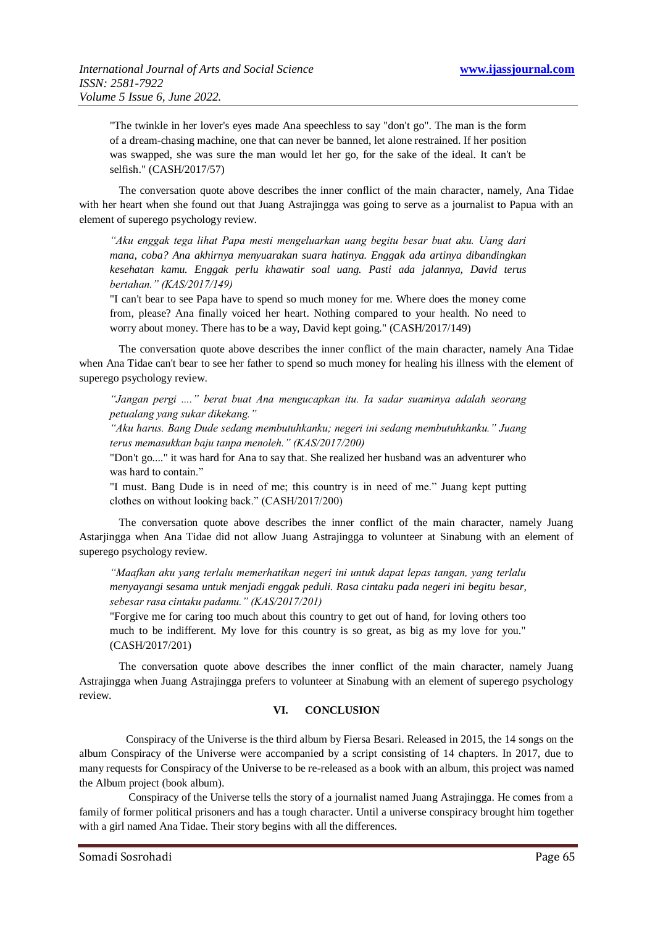"The twinkle in her lover's eyes made Ana speechless to say "don't go". The man is the form of a dream-chasing machine, one that can never be banned, let alone restrained. If her position was swapped, she was sure the man would let her go, for the sake of the ideal. It can't be selfish." (CASH/2017/57)

The conversation quote above describes the inner conflict of the main character, namely, Ana Tidae with her heart when she found out that Juang Astrajingga was going to serve as a journalist to Papua with an element of superego psychology review.

*"Aku enggak tega lihat Papa mesti mengeluarkan uang begitu besar buat aku. Uang dari mana, coba? Ana akhirnya menyuarakan suara hatinya. Enggak ada artinya dibandingkan kesehatan kamu. Enggak perlu khawatir soal uang. Pasti ada jalannya, David terus bertahan." (KAS/2017/149)*

"I can't bear to see Papa have to spend so much money for me. Where does the money come from, please? Ana finally voiced her heart. Nothing compared to your health. No need to worry about money. There has to be a way, David kept going." (CASH/2017/149)

The conversation quote above describes the inner conflict of the main character, namely Ana Tidae when Ana Tidae can't bear to see her father to spend so much money for healing his illness with the element of superego psychology review.

*"Jangan pergi ...." berat buat Ana mengucapkan itu. Ia sadar suaminya adalah seorang petualang yang sukar dikekang."*

*"Aku harus. Bang Dude sedang membutuhkanku; negeri ini sedang membutuhkanku." Juang terus memasukkan baju tanpa menoleh." (KAS/2017/200)*

"Don't go...." it was hard for Ana to say that. She realized her husband was an adventurer who was hard to contain."

"I must. Bang Dude is in need of me; this country is in need of me." Juang kept putting clothes on without looking back." (CASH/2017/200)

The conversation quote above describes the inner conflict of the main character, namely Juang Astarjingga when Ana Tidae did not allow Juang Astrajingga to volunteer at Sinabung with an element of superego psychology review.

*"Maafkan aku yang terlalu memerhatikan negeri ini untuk dapat lepas tangan, yang terlalu menyayangi sesama untuk menjadi enggak peduli. Rasa cintaku pada negeri ini begitu besar, sebesar rasa cintaku padamu." (KAS/2017/201)*

"Forgive me for caring too much about this country to get out of hand, for loving others too much to be indifferent. My love for this country is so great, as big as my love for you." (CASH/2017/201)

The conversation quote above describes the inner conflict of the main character, namely Juang Astrajingga when Juang Astrajingga prefers to volunteer at Sinabung with an element of superego psychology review.

#### **VI. CONCLUSION**

Conspiracy of the Universe is the third album by Fiersa Besari. Released in 2015, the 14 songs on the album Conspiracy of the Universe were accompanied by a script consisting of 14 chapters. In 2017, due to many requests for Conspiracy of the Universe to be re-released as a book with an album, this project was named the Album project (book album).

Conspiracy of the Universe tells the story of a journalist named Juang Astrajingga. He comes from a family of former political prisoners and has a tough character. Until a universe conspiracy brought him together with a girl named Ana Tidae. Their story begins with all the differences.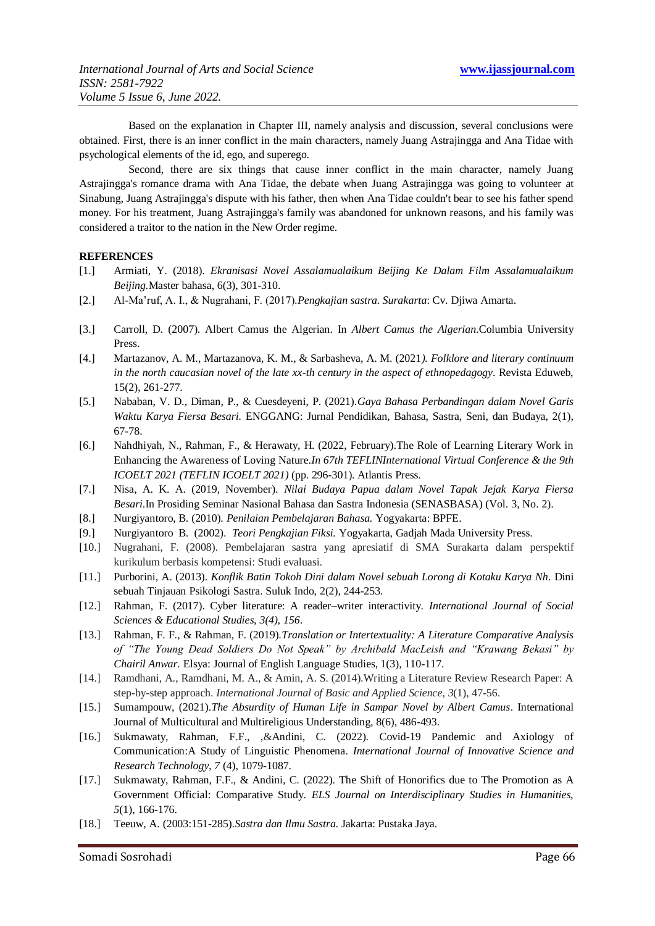Based on the explanation in Chapter III, namely analysis and discussion, several conclusions were obtained. First, there is an inner conflict in the main characters, namely Juang Astrajingga and Ana Tidae with psychological elements of the id, ego, and superego.

Second, there are six things that cause inner conflict in the main character, namely Juang Astrajingga's romance drama with Ana Tidae, the debate when Juang Astrajingga was going to volunteer at Sinabung, Juang Astrajingga's dispute with his father, then when Ana Tidae couldn't bear to see his father spend money. For his treatment, Juang Astrajingga's family was abandoned for unknown reasons, and his family was considered a traitor to the nation in the New Order regime.

#### **REFERENCES**

- [1.] Armiati, Y. (2018). *Ekranisasi Novel Assalamualaikum Beijing Ke Dalam Film Assalamualaikum Beijing.*Master bahasa, 6(3), 301-310.
- [2.] Al-Ma'ruf, A. I., & Nugrahani, F. (2017).*Pengkajian sastra. Surakarta*: Cv. Djiwa Amarta.
- [3.] Carroll, D. (2007). Albert Camus the Algerian. In *Albert Camus the Algerian*.Columbia University Press.
- [4.] Martazanov, A. M., Martazanova, K. M., & Sarbasheva, A. M. (2021*). Folklore and literary continuum in the north caucasian novel of the late xx-th century in the aspect of ethnopedagogy*. Revista Eduweb, 15(2), 261-277.
- [5.] Nababan, V. D., Diman, P., & Cuesdeyeni, P. (2021).*Gaya Bahasa Perbandingan dalam Novel Garis Waktu Karya Fiersa Besari.* ENGGANG: Jurnal Pendidikan, Bahasa, Sastra, Seni, dan Budaya, 2(1), 67-78.
- [6.] Nahdhiyah, N., Rahman, F., & Herawaty, H. (2022, February).The Role of Learning Literary Work in Enhancing the Awareness of Loving Nature.*In 67th TEFLINInternational Virtual Conference & the 9th ICOELT 2021 (TEFLIN ICOELT 2021)* (pp. 296-301). Atlantis Press.
- [7.] Nisa, A. K. A. (2019, November). *Nilai Budaya Papua dalam Novel Tapak Jejak Karya Fiersa Besari*.In Prosiding Seminar Nasional Bahasa dan Sastra Indonesia (SENASBASA) (Vol. 3, No. 2).
- [8.] Nurgiyantoro, B. (2010). *Penilaian Pembelajaran Bahasa.* Yogyakarta: BPFE.
- [9.] Nurgiyantoro B. (2002). *Teori Pengkajian Fiksi.* Yogyakarta, Gadjah Mada University Press.
- [10.] Nugrahani, F. (2008). Pembelajaran sastra yang apresiatif di SMA Surakarta dalam perspektif kurikulum berbasis kompetensi: Studi evaluasi.
- [11.] Purborini, A. (2013). *Konflik Batin Tokoh Dini dalam Novel sebuah Lorong di Kotaku Karya Nh*. Dini sebuah Tinjauan Psikologi Sastra. Suluk Indo, 2(2), 244-253.
- [12.] Rahman, F. (2017). Cyber literature: A reader–writer interactivity. *International Journal of Social Sciences & Educational Studies, 3(4), 156*.
- [13.] Rahman, F. F., & Rahman, F. (2019).*Translation or Intertextuality: A Literature Comparative Analysis of "The Young Dead Soldiers Do Not Speak" by Archibald MacLeish and "Krawang Bekasi" by Chairil Anwar*. Elsya: Journal of English Language Studies, 1(3), 110-117.
- [14.] Ramdhani, A., Ramdhani, M. A., & Amin, A. S. (2014).Writing a Literature Review Research Paper: A step-by-step approach. *International Journal of Basic and Applied Science*, *3*(1), 47-56.
- [15.] Sumampouw, (2021).*The Absurdity of Human Life in Sampar Novel by Albert Camus*. International Journal of Multicultural and Multireligious Understanding, 8(6), 486-493.
- [16.] Sukmawaty, Rahman, F.F., ,&Andini, C. (2022). Covid-19 Pandemic and Axiology of Communication:A Study of Linguistic Phenomena. *International Journal of Innovative Science and Research Technology, 7* (4), 1079-1087.
- [17.] Sukmawaty, Rahman, F.F., & Andini, C. (2022). The Shift of Honorifics due to The Promotion as A Government Official: Comparative Study. *ELS Journal on Interdisciplinary Studies in Humanities, 5*(1), 166-176.
- [18.] Teeuw, A. (2003:151-285).*Sastra dan Ilmu Sastra*. Jakarta: Pustaka Jaya.